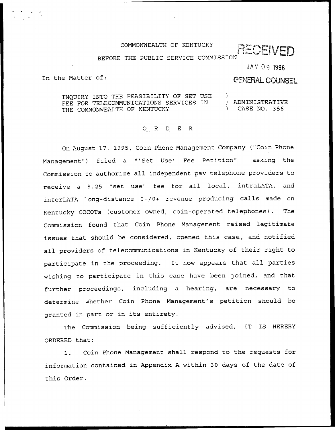### COMMONWEALTH OF KENTUCKY

RECEIVED

### BEFORE THE PUBLIC SERVICE COMMISSION

JAN 09 1996

In the Matter of:

# **GENERAL COUNSEL**

INQUIRY INTO THE FEASIBILITY OF SET USE )<br>FEE FOR TELECOMMUNICATIONS SERVICES IN ) ADMINISTRATIVE FEE FOR TELECOMMUNICATIONS SERVICES IN ) ADMINISTRATIVE<br>THE COMMONWEALTH OF KENTUCKY (2008) THE COMMONWEALTH OF KENTUCKY

### 0 <sup>R</sup> <sup>D</sup> E R

On August 17, 1995, Coin Phone Management Company ("Coin Phone Management") filed a "'Set Use' Fee Petition" asking the Commission to authorize all independent pay telephone providers to receive a \$.25 "set use" fee for all local, intraLATA, and interLATA long-distance 0-/0+ revenue producing calls made on Kentucky COCOTs (customer owned, coin-operated telephones). The Commission found that Coin Phone Management raised legitimate issues that should be considered, opened this case, and notified all providers of telecommunications in Kentucky of their right to participate in the proceeding. It now appears that all parties wishing to participate in this case have been joined, and that further proceedings, including a hearing, are necessary to determine whether Coin Phone Management's petition should be granted in part or in its entirety.

The Commission being sufficiently advised, IT IS HEREBY ORDERED that:

Coin Phone Management shall respond to the requests for information contained in Appendix <sup>A</sup> within 30 days of the date of this Order.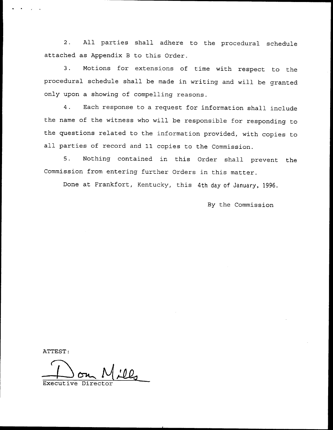2. All parties shall adhere to the procedural schedule attached as Appendix <sup>B</sup> to this Order.

3. Motions for extensions of time with respect to the procedural schedule shall be made in writing and will be granted only upon a showing of compelling reasons.

4. Each response to <sup>a</sup> request for information shall include the name of the witness who will be responsible for responding to the questions related to the information provided, with copies to all parties of record and 11 copies to the Commission.

5. Nothing contained in this Order shall prevent the Commission from entering further Orders in this matter.

Done at Frankfort, Kentucky, this 4th day of January, 1996.

By the Commission

ATTEST:

Executive Director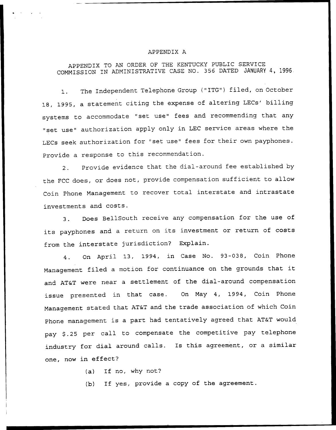#### APPENDIX A

## APPENDIX TO AN ORDER OF THE KENTUCKY PUBLIC SERVICE COMMISSION IN ADMINISTRATIVE CASE NO. 356 DATED JANUARY 4, 1996.

The Independent Telephone Group ("ITG") filed, on October  $\mathbf{1}$ . 18, 1995, a statement citing the expense of altering LECs' billing systems to accommodate "set use" fees and recommending that any "set use" authorization apply only in. LEC service areas where the LECs seek authorization for "set use" fees for their own payphones. Provide a response to this recommendation.

2. Provide evidence that the dial-around fee established by the FCC does, or does not, provide compensation sufficient to allow Coin Phone Management to recover total interstate and intrastate investments and costs.

3. Does BellSouth receive any compensation for the use of its payphones and <sup>a</sup> return on its investment or return of costs from the interstate jurisdiction? Explain.

4. On April 13, 1994, in Case No. 93-038, Coin Phone Management filed <sup>a</sup> motion for continuance on the grounds that it and AT&T were near a settlement of the dial-around compensation issue presented in that case. On May 4, 1994, Coin Phone Management stated that AT&T and the trade association of which Coin phone management is a part had tentatively agreed that AT&T would pay \$.25 per call to compensate the competitive pay telephone industry for dial around calls. Is this agreement, or <sup>a</sup> similar one, now in effect?

(a) If no, why not?

(b) If yes, provide <sup>a</sup> copy of the agreement.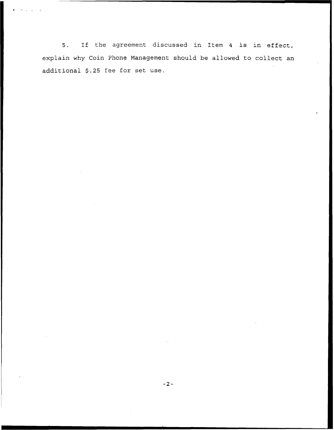5, If the agreement discussed in Item <sup>4</sup> is in effect, explain why Coin Phone Management should be allowed to collect an additional \$.25 fee for set use.